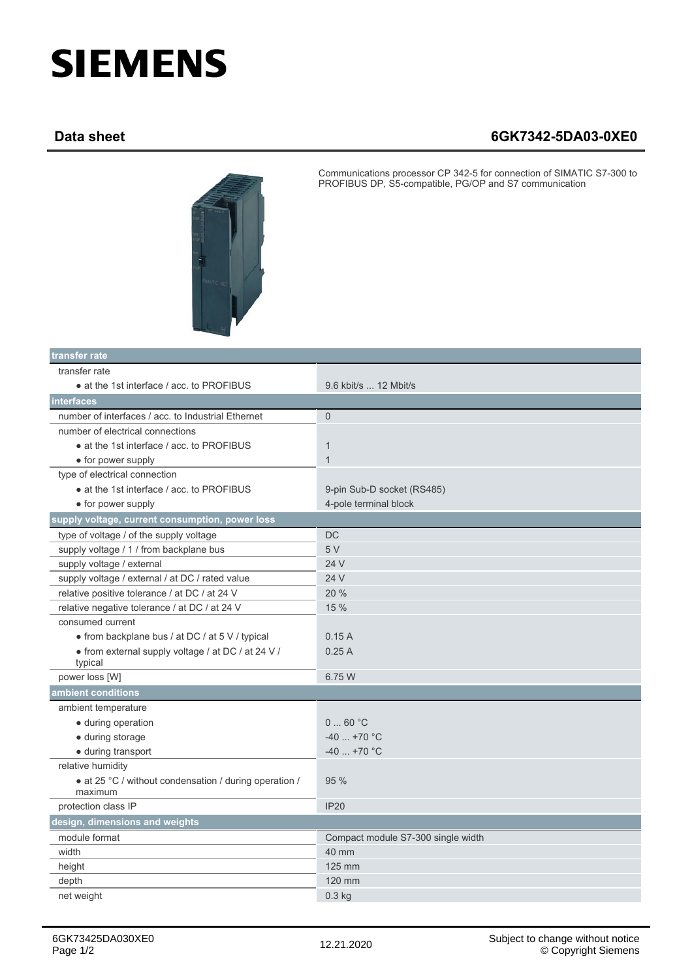## **SIEMENS**

## **Data sheet 6GK7342-5DA03-0XE0**



Communications processor CP 342-5 for connection of SIMATIC S7-300 to PROFIBUS DP, S5-compatible, PG/OP and S7 communication

| transfer rate                                                     |                                    |
|-------------------------------------------------------------------|------------------------------------|
| transfer rate                                                     |                                    |
| • at the 1st interface / acc. to PROFIBUS                         | 9.6 kbit/s  12 Mbit/s              |
| interfaces                                                        |                                    |
| number of interfaces / acc. to Industrial Ethernet                | $\mathbf{0}$                       |
| number of electrical connections                                  |                                    |
| • at the 1st interface / acc. to PROFIBUS                         | $\mathbf{1}$                       |
| • for power supply                                                | $\mathbf{1}$                       |
| type of electrical connection                                     |                                    |
| • at the 1st interface / acc. to PROFIBUS                         | 9-pin Sub-D socket (RS485)         |
| • for power supply                                                | 4-pole terminal block              |
| supply voltage, current consumption, power loss                   |                                    |
| type of voltage / of the supply voltage                           | DC                                 |
| supply voltage / 1 / from backplane bus                           | 5 V                                |
| supply voltage / external                                         | 24 V                               |
| supply voltage / external / at DC / rated value                   | 24 V                               |
| relative positive tolerance / at DC / at 24 V                     | 20%                                |
| relative negative tolerance / at DC / at 24 V                     | 15 %                               |
| consumed current                                                  |                                    |
| • from backplane bus / at DC / at 5 V / typical                   | 0.15A                              |
| • from external supply voltage / at DC / at 24 V /<br>typical     | 0.25A                              |
| power loss [W]                                                    | 6.75 W                             |
| ambient conditions                                                |                                    |
| ambient temperature                                               |                                    |
| • during operation                                                | 060 °C                             |
| • during storage                                                  | $-40$ +70 °C                       |
| · during transport                                                | $-40$ +70 °C                       |
| relative humidity                                                 |                                    |
| • at 25 °C / without condensation / during operation /<br>maximum | 95 %                               |
| protection class IP                                               | <b>IP20</b>                        |
| design, dimensions and weights                                    |                                    |
| module format                                                     | Compact module S7-300 single width |
| width                                                             | 40 mm                              |
| height                                                            | 125 mm                             |
| depth                                                             | 120 mm                             |
| net weight                                                        | $0.3$ kg                           |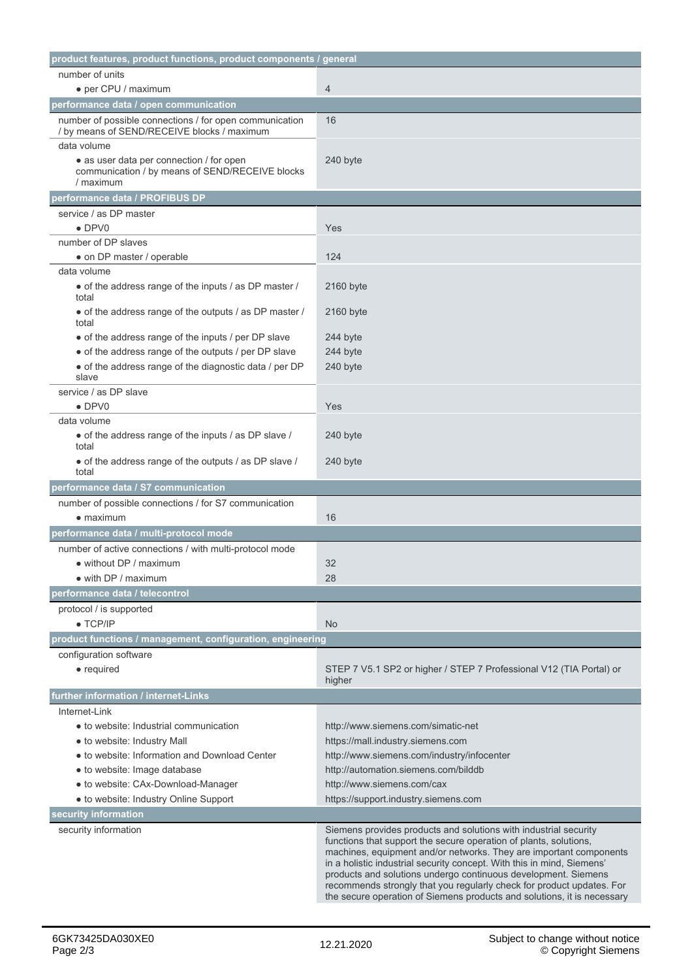| product features, product functions, product components / general                                                       |                                                                                                                                                                                                                                                                                                                                                                                                                                                                                                             |
|-------------------------------------------------------------------------------------------------------------------------|-------------------------------------------------------------------------------------------------------------------------------------------------------------------------------------------------------------------------------------------------------------------------------------------------------------------------------------------------------------------------------------------------------------------------------------------------------------------------------------------------------------|
| number of units                                                                                                         |                                                                                                                                                                                                                                                                                                                                                                                                                                                                                                             |
| • per CPU / maximum                                                                                                     | 4                                                                                                                                                                                                                                                                                                                                                                                                                                                                                                           |
| performance data / open communication                                                                                   |                                                                                                                                                                                                                                                                                                                                                                                                                                                                                                             |
| number of possible connections / for open communication<br>/ by means of SEND/RECEIVE blocks / maximum                  | 16                                                                                                                                                                                                                                                                                                                                                                                                                                                                                                          |
| data volume<br>• as user data per connection / for open<br>communication / by means of SEND/RECEIVE blocks<br>/ maximum | 240 byte                                                                                                                                                                                                                                                                                                                                                                                                                                                                                                    |
| performance data / PROFIBUS DP                                                                                          |                                                                                                                                                                                                                                                                                                                                                                                                                                                                                                             |
| service / as DP master                                                                                                  |                                                                                                                                                                                                                                                                                                                                                                                                                                                                                                             |
| $\bullet$ DPV0                                                                                                          | Yes                                                                                                                                                                                                                                                                                                                                                                                                                                                                                                         |
| number of DP slaves                                                                                                     |                                                                                                                                                                                                                                                                                                                                                                                                                                                                                                             |
| • on DP master / operable                                                                                               | 124                                                                                                                                                                                                                                                                                                                                                                                                                                                                                                         |
| data volume                                                                                                             |                                                                                                                                                                                                                                                                                                                                                                                                                                                                                                             |
| • of the address range of the inputs / as DP master /<br>total                                                          | 2160 byte                                                                                                                                                                                                                                                                                                                                                                                                                                                                                                   |
| • of the address range of the outputs / as DP master /<br>total                                                         | 2160 byte                                                                                                                                                                                                                                                                                                                                                                                                                                                                                                   |
| • of the address range of the inputs / per DP slave                                                                     | 244 byte                                                                                                                                                                                                                                                                                                                                                                                                                                                                                                    |
| • of the address range of the outputs / per DP slave                                                                    | 244 byte                                                                                                                                                                                                                                                                                                                                                                                                                                                                                                    |
| • of the address range of the diagnostic data / per DP<br>slave                                                         | 240 byte                                                                                                                                                                                                                                                                                                                                                                                                                                                                                                    |
| service / as DP slave                                                                                                   |                                                                                                                                                                                                                                                                                                                                                                                                                                                                                                             |
| $\bullet$ DPV0                                                                                                          | Yes                                                                                                                                                                                                                                                                                                                                                                                                                                                                                                         |
| data volume                                                                                                             |                                                                                                                                                                                                                                                                                                                                                                                                                                                                                                             |
| • of the address range of the inputs / as DP slave /<br>total                                                           | 240 byte                                                                                                                                                                                                                                                                                                                                                                                                                                                                                                    |
| • of the address range of the outputs / as DP slave /<br>total                                                          | 240 byte                                                                                                                                                                                                                                                                                                                                                                                                                                                                                                    |
| performance data / S7 communication                                                                                     |                                                                                                                                                                                                                                                                                                                                                                                                                                                                                                             |
| number of possible connections / for S7 communication                                                                   |                                                                                                                                                                                                                                                                                                                                                                                                                                                                                                             |
| $\bullet$ maximum                                                                                                       | 16                                                                                                                                                                                                                                                                                                                                                                                                                                                                                                          |
| performance data / multi-protocol mode                                                                                  |                                                                                                                                                                                                                                                                                                                                                                                                                                                                                                             |
| number of active connections / with multi-protocol mode                                                                 |                                                                                                                                                                                                                                                                                                                                                                                                                                                                                                             |
| • without DP / maximum                                                                                                  | 32                                                                                                                                                                                                                                                                                                                                                                                                                                                                                                          |
| · with DP / maximum                                                                                                     | 28                                                                                                                                                                                                                                                                                                                                                                                                                                                                                                          |
| performance data / telecontrol                                                                                          |                                                                                                                                                                                                                                                                                                                                                                                                                                                                                                             |
| protocol / is supported                                                                                                 |                                                                                                                                                                                                                                                                                                                                                                                                                                                                                                             |
| $\bullet$ TCP/IP                                                                                                        | <b>No</b>                                                                                                                                                                                                                                                                                                                                                                                                                                                                                                   |
| product functions / management, configuration, engineering                                                              |                                                                                                                                                                                                                                                                                                                                                                                                                                                                                                             |
| configuration software<br>$\bullet$ required                                                                            | STEP 7 V5.1 SP2 or higher / STEP 7 Professional V12 (TIA Portal) or<br>higher                                                                                                                                                                                                                                                                                                                                                                                                                               |
| further information / internet-Links                                                                                    |                                                                                                                                                                                                                                                                                                                                                                                                                                                                                                             |
| Internet-Link                                                                                                           |                                                                                                                                                                                                                                                                                                                                                                                                                                                                                                             |
| • to website: Industrial communication                                                                                  | http://www.siemens.com/simatic-net                                                                                                                                                                                                                                                                                                                                                                                                                                                                          |
| · to website: Industry Mall                                                                                             | https://mall.industry.siemens.com                                                                                                                                                                                                                                                                                                                                                                                                                                                                           |
| • to website: Information and Download Center                                                                           | http://www.siemens.com/industry/infocenter                                                                                                                                                                                                                                                                                                                                                                                                                                                                  |
| · to website: Image database                                                                                            | http://automation.siemens.com/bilddb                                                                                                                                                                                                                                                                                                                                                                                                                                                                        |
| • to website: CAx-Download-Manager                                                                                      | http://www.siemens.com/cax                                                                                                                                                                                                                                                                                                                                                                                                                                                                                  |
| · to website: Industry Online Support                                                                                   | https://support.industry.siemens.com                                                                                                                                                                                                                                                                                                                                                                                                                                                                        |
| security information                                                                                                    |                                                                                                                                                                                                                                                                                                                                                                                                                                                                                                             |
| security information                                                                                                    | Siemens provides products and solutions with industrial security<br>functions that support the secure operation of plants, solutions,<br>machines, equipment and/or networks. They are important components<br>in a holistic industrial security concept. With this in mind, Siemens'<br>products and solutions undergo continuous development. Siemens<br>recommends strongly that you regularly check for product updates. For<br>the secure operation of Siemens products and solutions, it is necessary |